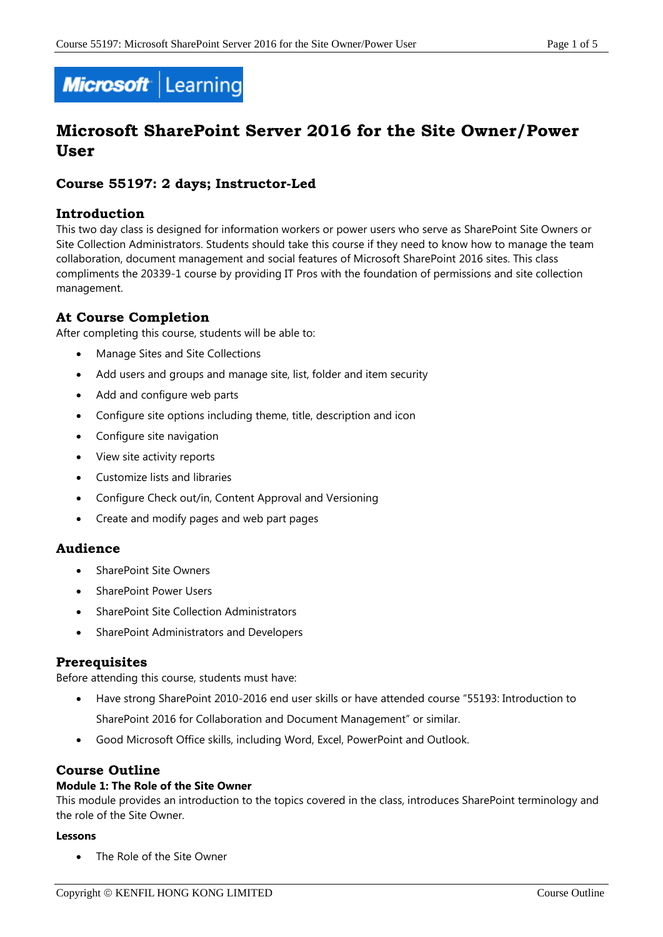

# **Microsoft SharePoint Server 2016 for the Site Owner/Power User**

# **Course 55197: 2 days; Instructor-Led**

## **Introduction**

This two day class is designed for information workers or power users who serve as SharePoint Site Owners or Site Collection Administrators. Students should take this course if they need to know how to manage the team collaboration, document management and social features of Microsoft SharePoint 2016 sites. This class compliments the 20339-1 course by providing IT Pros with the foundation of permissions and site collection management.

## **At Course Completion**

After completing this course, students will be able to:

- Manage Sites and Site Collections
- Add users and groups and manage site, list, folder and item security
- Add and configure web parts
- Configure site options including theme, title, description and icon
- Configure site navigation
- View site activity reports
- Customize lists and libraries
- Configure Check out/in, Content Approval and Versioning
- Create and modify pages and web part pages

## **Audience**

- SharePoint Site Owners
- SharePoint Power Users
- SharePoint Site Collection Administrators
- SharePoint Administrators and Developers

## **Prerequisites**

Before attending this course, students must have:

- Have strong SharePoint 2010-2016 end user skills or have attended course "55193: Introduction to
	- SharePoint 2016 for Collaboration and Document Management" or similar.
- Good Microsoft Office skills, including Word, Excel, PowerPoint and Outlook.

## **Course Outline**

#### **Module 1: The Role of the Site Owner**

This module provides an introduction to the topics covered in the class, introduces SharePoint terminology and the role of the Site Owner.

#### **Lessons**

The Role of the Site Owner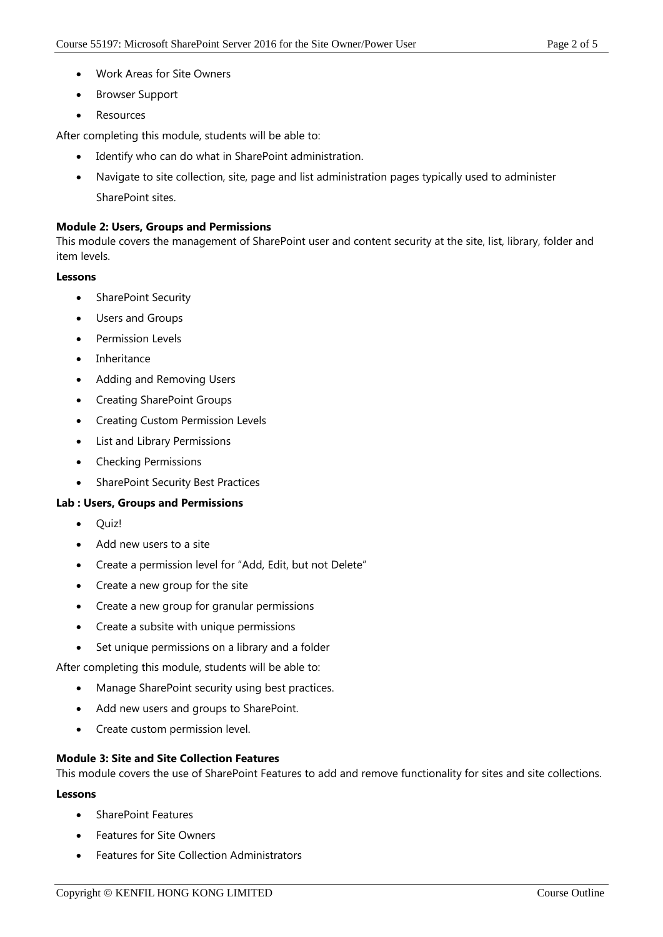- Work Areas for Site Owners
- Browser Support
- Resources

After completing this module, students will be able to:

- Identify who can do what in SharePoint administration.
- Navigate to site collection, site, page and list administration pages typically used to administer SharePoint sites.

#### **Module 2: Users, Groups and Permissions**

This module covers the management of SharePoint user and content security at the site, list, library, folder and item levels.

#### **Lessons**

- SharePoint Security
- Users and Groups
- Permission Levels
- Inheritance
- Adding and Removing Users
- Creating SharePoint Groups
- Creating Custom Permission Levels
- List and Library Permissions
- Checking Permissions
- SharePoint Security Best Practices

#### **Lab : Users, Groups and Permissions**

- Ouiz!
- Add new users to a site
- Create a permission level for "Add, Edit, but not Delete"
- Create a new group for the site
- Create a new group for granular permissions
- Create a subsite with unique permissions
- Set unique permissions on a library and a folder

After completing this module, students will be able to:

- Manage SharePoint security using best practices.
- Add new users and groups to SharePoint.
- Create custom permission level.

#### **Module 3: Site and Site Collection Features**

This module covers the use of SharePoint Features to add and remove functionality for sites and site collections.

#### **Lessons**

- SharePoint Features
- Features for Site Owners
- Features for Site Collection Administrators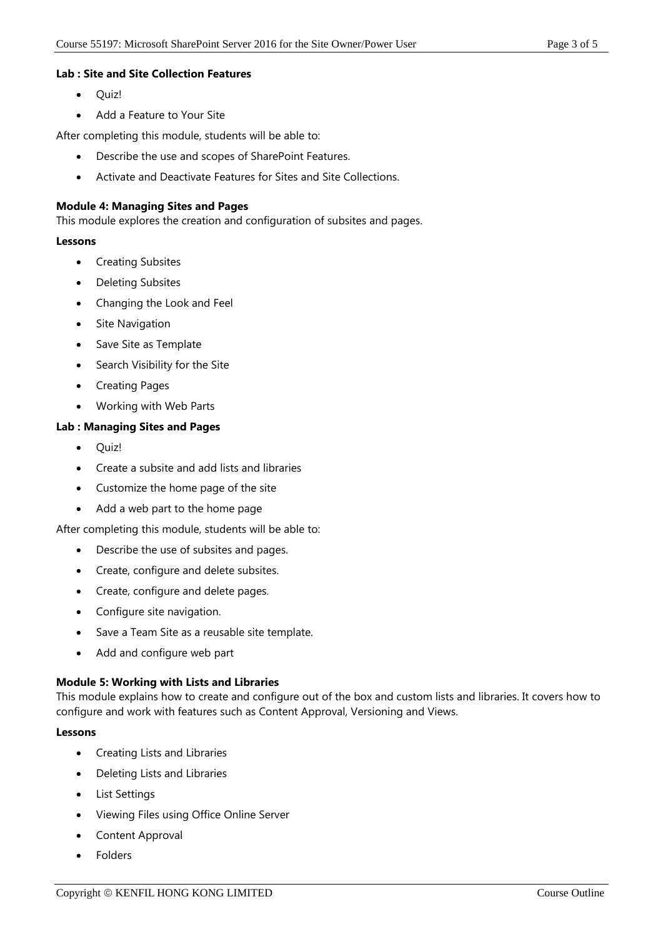#### **Lab : Site and Site Collection Features**

- Ouiz!
- Add a Feature to Your Site

After completing this module, students will be able to:

- Describe the use and scopes of SharePoint Features.
- Activate and Deactivate Features for Sites and Site Collections.

#### **Module 4: Managing Sites and Pages**

This module explores the creation and configuration of subsites and pages.

#### **Lessons**

- Creating Subsites
- Deleting Subsites
- Changing the Look and Feel
- Site Navigation
- Save Site as Template
- Search Visibility for the Site
- Creating Pages
- Working with Web Parts

### **Lab : Managing Sites and Pages**

- Quiz!
- Create a subsite and add lists and libraries
- Customize the home page of the site
- Add a web part to the home page

After completing this module, students will be able to:

- Describe the use of subsites and pages.
- Create, configure and delete subsites.
- Create, configure and delete pages.
- Configure site navigation.
- Save a Team Site as a reusable site template.
- Add and configure web part

#### **Module 5: Working with Lists and Libraries**

This module explains how to create and configure out of the box and custom lists and libraries. It covers how to configure and work with features such as Content Approval, Versioning and Views.

#### **Lessons**

- Creating Lists and Libraries
- Deleting Lists and Libraries
- List Settings
- Viewing Files using Office Online Server
- Content Approval
- Folders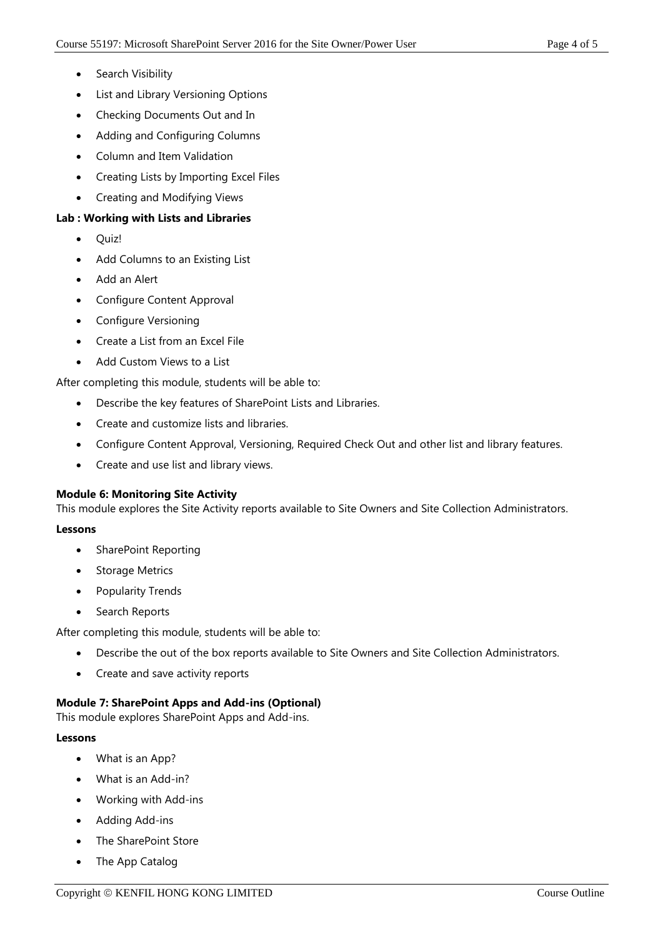- Search Visibility
- List and Library Versioning Options
- Checking Documents Out and In
- Adding and Configuring Columns
- Column and Item Validation
- Creating Lists by Importing Excel Files
- Creating and Modifying Views

## **Lab : Working with Lists and Libraries**

- Quiz!
- Add Columns to an Existing List
- Add an Alert
- Configure Content Approval
- Configure Versioning
- Create a List from an Excel File
- Add Custom Views to a List

After completing this module, students will be able to:

- Describe the key features of SharePoint Lists and Libraries.
- Create and customize lists and libraries.
- Configure Content Approval, Versioning, Required Check Out and other list and library features.
- Create and use list and library views.

#### **Module 6: Monitoring Site Activity**

This module explores the Site Activity reports available to Site Owners and Site Collection Administrators.

#### **Lessons**

- SharePoint Reporting
- Storage Metrics
- Popularity Trends
- Search Reports

After completing this module, students will be able to:

- Describe the out of the box reports available to Site Owners and Site Collection Administrators.
- Create and save activity reports

#### **Module 7: SharePoint Apps and Add-ins (Optional)**

This module explores SharePoint Apps and Add-ins.

#### **Lessons**

- What is an App?
- What is an Add-in?
- Working with Add-ins
- Adding Add-ins
- The SharePoint Store
- The App Catalog